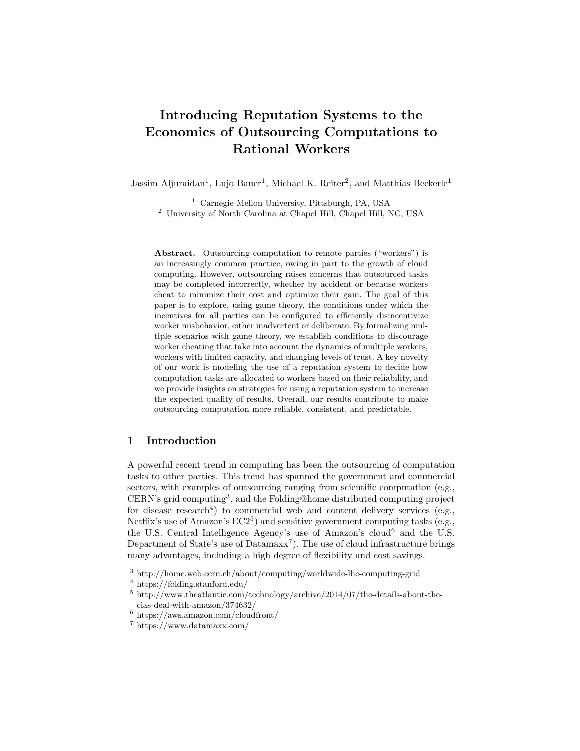# Introducing Reputation Systems to the Economics of Outsourcing Computations to Rational Workers

Jassim Aljuraidan<sup>1</sup>, Lujo Bauer<sup>1</sup>, Michael K. Reiter<sup>2</sup>, and Matthias Beckerle<sup>1</sup>

<sup>1</sup> Carnegie Mellon University, Pittsburgh, PA, USA <sup>2</sup> University of North Carolina at Chapel Hill, Chapel Hill, NC, USA

Abstract. Outsourcing computation to remote parties ("workers") is an increasingly common practice, owing in part to the growth of cloud computing. However, outsourcing raises concerns that outsourced tasks may be completed incorrectly, whether by accident or because workers cheat to minimize their cost and optimize their gain. The goal of this paper is to explore, using game theory, the conditions under which the incentives for all parties can be configured to efficiently disincentivize worker misbehavior, either inadvertent or deliberate. By formalizing multiple scenarios with game theory, we establish conditions to discourage worker cheating that take into account the dynamics of multiple workers, workers with limited capacity, and changing levels of trust. A key novelty of our work is modeling the use of a reputation system to decide how computation tasks are allocated to workers based on their reliability, and we provide insights on strategies for using a reputation system to increase the expected quality of results. Overall, our results contribute to make outsourcing computation more reliable, consistent, and predictable.

# 1 Introduction

A powerful recent trend in computing has been the outsourcing of computation tasks to other parties. This trend has spanned the government and commercial sectors, with examples of outsourcing ranging from scientific computation (e.g., CERN's grid computing<sup>3</sup>, and the Folding@home distributed computing project for disease research<sup>4</sup>) to commercial web and content delivery services (e.g., Netflix's use of Amazon's  $EC2^5$ ) and sensitive government computing tasks (e.g., the U.S. Central Intelligence Agency's use of Amazon's cloud<sup>6</sup> and the U.S. Department of State's use of  $\text{Datamax}^7$ . The use of cloud infrastructure brings many advantages, including a high degree of flexibility and cost savings.

 $^3$ http://home.web.cern.ch/about/computing/worldwide-lhc-computing-grid

<sup>4</sup> https://folding.stanford.edu/

 $^5$ http://www.theatlantic.com/technology/archive/2014/07/the-details-about-thecias-deal-with-amazon/374632/

 $6$  https://aws.amazon.com/cloudfront/

<sup>7</sup> https://www.datamaxx.com/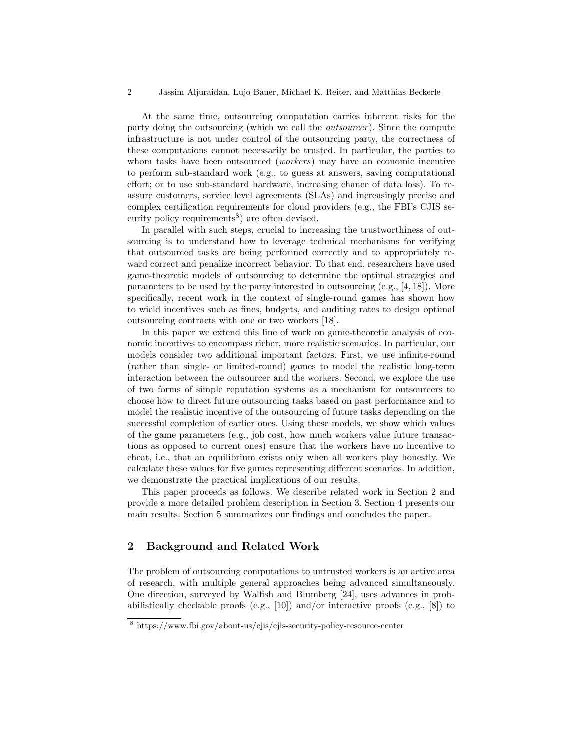At the same time, outsourcing computation carries inherent risks for the party doing the outsourcing (which we call the *outsourcer*). Since the compute infrastructure is not under control of the outsourcing party, the correctness of these computations cannot necessarily be trusted. In particular, the parties to whom tasks have been outsourced (*workers*) may have an economic incentive to perform sub-standard work (e.g., to guess at answers, saving computational effort; or to use sub-standard hardware, increasing chance of data loss). To reassure customers, service level agreements (SLAs) and increasingly precise and complex certification requirements for cloud providers (e.g., the FBI's CJIS security policy requirements<sup>8</sup>) are often devised.

In parallel with such steps, crucial to increasing the trustworthiness of outsourcing is to understand how to leverage technical mechanisms for verifying that outsourced tasks are being performed correctly and to appropriately reward correct and penalize incorrect behavior. To that end, researchers have used game-theoretic models of outsourcing to determine the optimal strategies and parameters to be used by the party interested in outsourcing (e.g., [4, 18]). More specifically, recent work in the context of single-round games has shown how to wield incentives such as fines, budgets, and auditing rates to design optimal outsourcing contracts with one or two workers [18].

In this paper we extend this line of work on game-theoretic analysis of economic incentives to encompass richer, more realistic scenarios. In particular, our models consider two additional important factors. First, we use infinite-round (rather than single- or limited-round) games to model the realistic long-term interaction between the outsourcer and the workers. Second, we explore the use of two forms of simple reputation systems as a mechanism for outsourcers to choose how to direct future outsourcing tasks based on past performance and to model the realistic incentive of the outsourcing of future tasks depending on the successful completion of earlier ones. Using these models, we show which values of the game parameters (e.g., job cost, how much workers value future transactions as opposed to current ones) ensure that the workers have no incentive to cheat, i.e., that an equilibrium exists only when all workers play honestly. We calculate these values for five games representing different scenarios. In addition, we demonstrate the practical implications of our results.

This paper proceeds as follows. We describe related work in Section 2 and provide a more detailed problem description in Section 3. Section 4 presents our main results. Section 5 summarizes our findings and concludes the paper.

# 2 Background and Related Work

The problem of outsourcing computations to untrusted workers is an active area of research, with multiple general approaches being advanced simultaneously. One direction, surveyed by Walfish and Blumberg [24], uses advances in probabilistically checkable proofs (e.g., [10]) and/or interactive proofs (e.g., [8]) to

<sup>8</sup> https://www.fbi.gov/about-us/cjis/cjis-security-policy-resource-center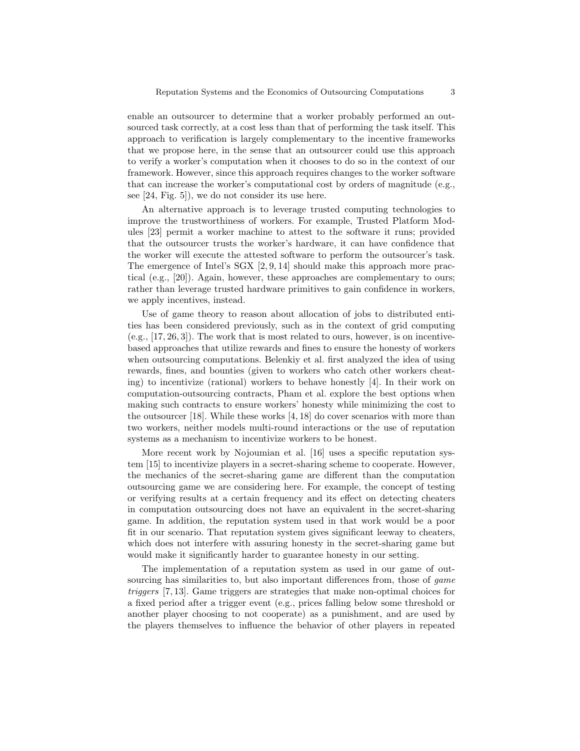enable an outsourcer to determine that a worker probably performed an outsourced task correctly, at a cost less than that of performing the task itself. This approach to verification is largely complementary to the incentive frameworks that we propose here, in the sense that an outsourcer could use this approach to verify a worker's computation when it chooses to do so in the context of our framework. However, since this approach requires changes to the worker software that can increase the worker's computational cost by orders of magnitude (e.g., see [24, Fig. 5]), we do not consider its use here.

An alternative approach is to leverage trusted computing technologies to improve the trustworthiness of workers. For example, Trusted Platform Modules [23] permit a worker machine to attest to the software it runs; provided that the outsourcer trusts the worker's hardware, it can have confidence that the worker will execute the attested software to perform the outsourcer's task. The emergence of Intel's SGX [2, 9, 14] should make this approach more practical (e.g., [20]). Again, however, these approaches are complementary to ours; rather than leverage trusted hardware primitives to gain confidence in workers, we apply incentives, instead.

Use of game theory to reason about allocation of jobs to distributed entities has been considered previously, such as in the context of grid computing  $(e.g., [17, 26, 3])$ . The work that is most related to ours, however, is on incentivebased approaches that utilize rewards and fines to ensure the honesty of workers when outsourcing computations. Belenkiy et al. first analyzed the idea of using rewards, fines, and bounties (given to workers who catch other workers cheating) to incentivize (rational) workers to behave honestly [4]. In their work on computation-outsourcing contracts, Pham et al. explore the best options when making such contracts to ensure workers' honesty while minimizing the cost to the outsourcer [18]. While these works [4, 18] do cover scenarios with more than two workers, neither models multi-round interactions or the use of reputation systems as a mechanism to incentivize workers to be honest.

More recent work by Nojoumian et al. [16] uses a specific reputation system [15] to incentivize players in a secret-sharing scheme to cooperate. However, the mechanics of the secret-sharing game are different than the computation outsourcing game we are considering here. For example, the concept of testing or verifying results at a certain frequency and its effect on detecting cheaters in computation outsourcing does not have an equivalent in the secret-sharing game. In addition, the reputation system used in that work would be a poor fit in our scenario. That reputation system gives significant leeway to cheaters, which does not interfere with assuring honesty in the secret-sharing game but would make it significantly harder to guarantee honesty in our setting.

The implementation of a reputation system as used in our game of outsourcing has similarities to, but also important differences from, those of *game* triggers [7, 13]. Game triggers are strategies that make non-optimal choices for a fixed period after a trigger event (e.g., prices falling below some threshold or another player choosing to not cooperate) as a punishment, and are used by the players themselves to influence the behavior of other players in repeated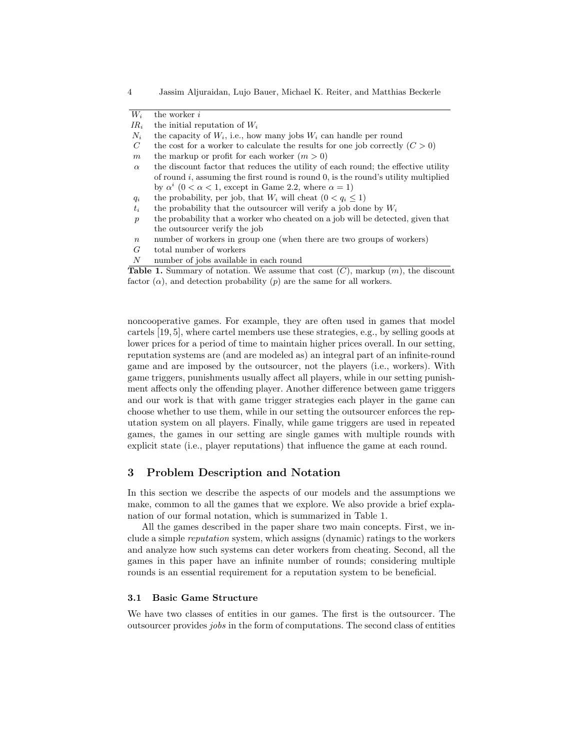- $N_i$  the capacity of  $W_i$ , i.e., how many jobs  $W_i$  can handle per round
- C the cost for a worker to calculate the results for one job correctly  $(C > 0)$
- m the markup or profit for each worker  $(m > 0)$
- $\alpha$  the discount factor that reduces the utility of each round; the effective utility of round  $i$ , assuming the first round is round  $0$ , is the round's utility multiplied by  $\alpha^i$  ( $0 < \alpha < 1$ , except in Game 2.2, where  $\alpha = 1$ )
- $q_i$  the probability, per job, that  $W_i$  will cheat  $(0 < q_i \leq 1)$
- $t_i$  the probability that the outsourcer will verify a job done by  $W_i$
- $p$  the probability that a worker who cheated on a job will be detected, given that the outsourcer verify the job
- $n$  number of workers in group one (when there are two groups of workers)
- G total number of workers
- N number of jobs available in each round

Table 1. Summary of notation. We assume that cost  $(C)$ , markup  $(m)$ , the discount factor  $(\alpha)$ , and detection probability  $(p)$  are the same for all workers.

noncooperative games. For example, they are often used in games that model cartels [19, 5], where cartel members use these strategies, e.g., by selling goods at lower prices for a period of time to maintain higher prices overall. In our setting, reputation systems are (and are modeled as) an integral part of an infinite-round game and are imposed by the outsourcer, not the players (i.e., workers). With game triggers, punishments usually affect all players, while in our setting punishment affects only the offending player. Another difference between game triggers and our work is that with game trigger strategies each player in the game can choose whether to use them, while in our setting the outsourcer enforces the reputation system on all players. Finally, while game triggers are used in repeated games, the games in our setting are single games with multiple rounds with explicit state (i.e., player reputations) that influence the game at each round.

## 3 Problem Description and Notation

In this section we describe the aspects of our models and the assumptions we make, common to all the games that we explore. We also provide a brief explanation of our formal notation, which is summarized in Table 1.

All the games described in the paper share two main concepts. First, we include a simple reputation system, which assigns (dynamic) ratings to the workers and analyze how such systems can deter workers from cheating. Second, all the games in this paper have an infinite number of rounds; considering multiple rounds is an essential requirement for a reputation system to be beneficial.

#### 3.1 Basic Game Structure

We have two classes of entities in our games. The first is the outsourcer. The outsourcer provides jobs in the form of computations. The second class of entities

 $W_i$  the worker i

 $IR_i$  the initial reputation of  $W_i$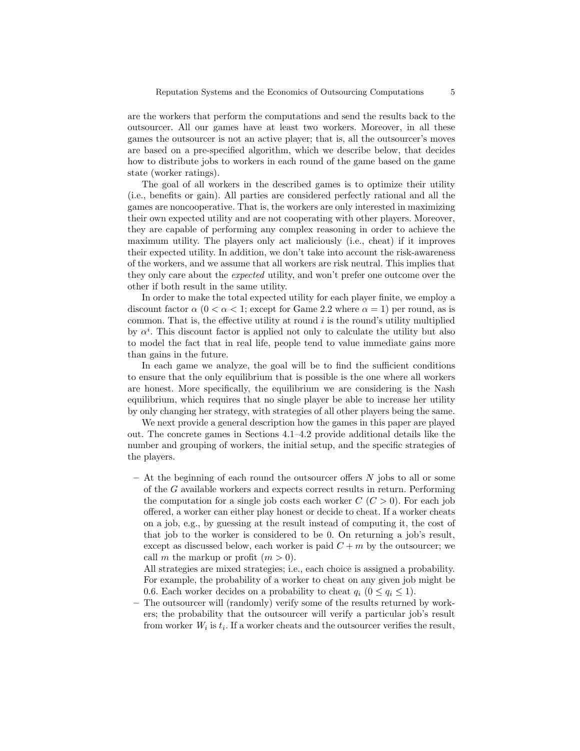are the workers that perform the computations and send the results back to the outsourcer. All our games have at least two workers. Moreover, in all these games the outsourcer is not an active player; that is, all the outsourcer's moves are based on a pre-specified algorithm, which we describe below, that decides how to distribute jobs to workers in each round of the game based on the game state (worker ratings).

The goal of all workers in the described games is to optimize their utility (i.e., benefits or gain). All parties are considered perfectly rational and all the games are noncooperative. That is, the workers are only interested in maximizing their own expected utility and are not cooperating with other players. Moreover, they are capable of performing any complex reasoning in order to achieve the maximum utility. The players only act maliciously (i.e., cheat) if it improves their expected utility. In addition, we don't take into account the risk-awareness of the workers, and we assume that all workers are risk neutral. This implies that they only care about the expected utility, and won't prefer one outcome over the other if both result in the same utility.

In order to make the total expected utility for each player finite, we employ a discount factor  $\alpha$  ( $0 < \alpha < 1$ ; except for Game 2.2 where  $\alpha = 1$ ) per round, as is common. That is, the effective utility at round  $i$  is the round's utility multiplied by  $\alpha^i$ . This discount factor is applied not only to calculate the utility but also to model the fact that in real life, people tend to value immediate gains more than gains in the future.

In each game we analyze, the goal will be to find the sufficient conditions to ensure that the only equilibrium that is possible is the one where all workers are honest. More specifically, the equilibrium we are considering is the Nash equilibrium, which requires that no single player be able to increase her utility by only changing her strategy, with strategies of all other players being the same.

We next provide a general description how the games in this paper are played out. The concrete games in Sections 4.1–4.2 provide additional details like the number and grouping of workers, the initial setup, and the specific strategies of the players.

 $-$  At the beginning of each round the outsourcer offers N jobs to all or some of the G available workers and expects correct results in return. Performing the computation for a single job costs each worker  $C(C > 0)$ . For each job offered, a worker can either play honest or decide to cheat. If a worker cheats on a job, e.g., by guessing at the result instead of computing it, the cost of that job to the worker is considered to be 0. On returning a job's result, except as discussed below, each worker is paid  $C + m$  by the outsourcer; we call m the markup or profit  $(m > 0)$ .

All strategies are mixed strategies; i.e., each choice is assigned a probability. For example, the probability of a worker to cheat on any given job might be 0.6. Each worker decides on a probability to cheat  $q_i$  ( $0 \leq q_i \leq 1$ ).

– The outsourcer will (randomly) verify some of the results returned by workers; the probability that the outsourcer will verify a particular job's result from worker  $W_i$  is  $t_i$ . If a worker cheats and the outsourcer verifies the result,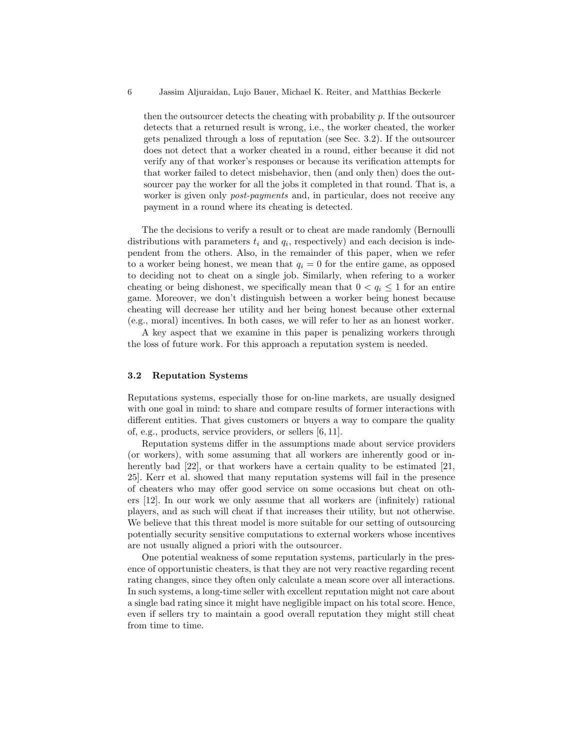then the outsourcer detects the cheating with probability  $p$ . If the outsourcer detects that a returned result is wrong, i.e., the worker cheated, the worker gets penalized through a loss of reputation (see Sec. 3.2). If the outsourcer does not detect that a worker cheated in a round, either because it did not verify any of that worker's responses or because its verification attempts for that worker failed to detect misbehavior, then (and only then) does the outsourcer pay the worker for all the jobs it completed in that round. That is, a worker is given only *post-payments* and, in particular, does not receive any payment in a round where its cheating is detected.

The the decisions to verify a result or to cheat are made randomly (Bernoulli distributions with parameters  $t_i$  and  $q_i$ , respectively) and each decision is independent from the others. Also, in the remainder of this paper, when we refer to a worker being honest, we mean that  $q_i = 0$  for the entire game, as opposed to deciding not to cheat on a single job. Similarly, when refering to a worker cheating or being dishonest, we specifically mean that  $0 < q_i \leq 1$  for an entire game. Moreover, we don't distinguish between a worker being honest because cheating will decrease her utility and her being honest because other external (e.g., moral) incentives. In both cases, we will refer to her as an honest worker.

A key aspect that we examine in this paper is penalizing workers through the loss of future work. For this approach a reputation system is needed.

### 3.2 Reputation Systems

Reputations systems, especially those for on-line markets, are usually designed with one goal in mind: to share and compare results of former interactions with different entities. That gives customers or buyers a way to compare the quality of, e.g., products, service providers, or sellers [6, 11].

Reputation systems differ in the assumptions made about service providers (or workers), with some assuming that all workers are inherently good or inherently bad [22], or that workers have a certain quality to be estimated [21, 25]. Kerr et al. showed that many reputation systems will fail in the presence of cheaters who may offer good service on some occasions but cheat on others [12]. In our work we only assume that all workers are (infinitely) rational players, and as such will cheat if that increases their utility, but not otherwise. We believe that this threat model is more suitable for our setting of outsourcing potentially security sensitive computations to external workers whose incentives are not usually aligned a priori with the outsourcer.

One potential weakness of some reputation systems, particularly in the presence of opportunistic cheaters, is that they are not very reactive regarding recent rating changes, since they often only calculate a mean score over all interactions. In such systems, a long-time seller with excellent reputation might not care about a single bad rating since it might have negligible impact on his total score. Hence, even if sellers try to maintain a good overall reputation they might still cheat from time to time.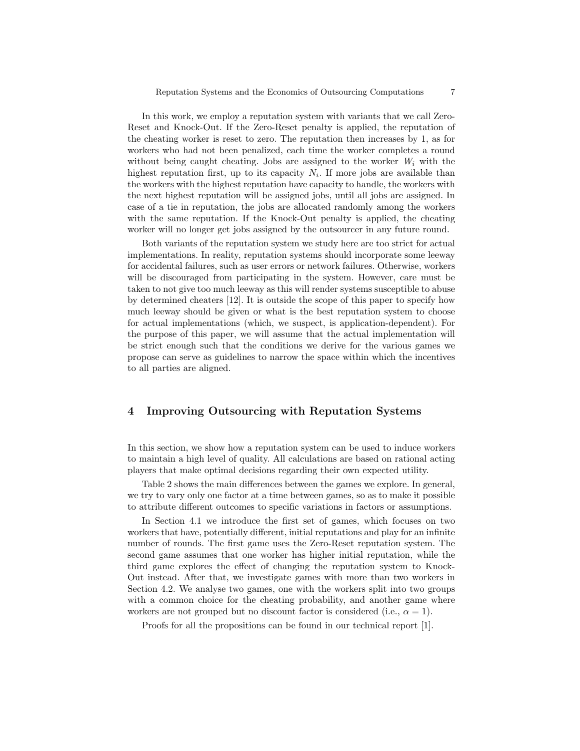In this work, we employ a reputation system with variants that we call Zero-Reset and Knock-Out. If the Zero-Reset penalty is applied, the reputation of the cheating worker is reset to zero. The reputation then increases by 1, as for workers who had not been penalized, each time the worker completes a round without being caught cheating. Jobs are assigned to the worker  $W_i$  with the highest reputation first, up to its capacity  $N_i$ . If more jobs are available than the workers with the highest reputation have capacity to handle, the workers with the next highest reputation will be assigned jobs, until all jobs are assigned. In case of a tie in reputation, the jobs are allocated randomly among the workers with the same reputation. If the Knock-Out penalty is applied, the cheating worker will no longer get jobs assigned by the outsourcer in any future round.

Both variants of the reputation system we study here are too strict for actual implementations. In reality, reputation systems should incorporate some leeway for accidental failures, such as user errors or network failures. Otherwise, workers will be discouraged from participating in the system. However, care must be taken to not give too much leeway as this will render systems susceptible to abuse by determined cheaters [12]. It is outside the scope of this paper to specify how much leeway should be given or what is the best reputation system to choose for actual implementations (which, we suspect, is application-dependent). For the purpose of this paper, we will assume that the actual implementation will be strict enough such that the conditions we derive for the various games we propose can serve as guidelines to narrow the space within which the incentives to all parties are aligned.

## 4 Improving Outsourcing with Reputation Systems

In this section, we show how a reputation system can be used to induce workers to maintain a high level of quality. All calculations are based on rational acting players that make optimal decisions regarding their own expected utility.

Table 2 shows the main differences between the games we explore. In general, we try to vary only one factor at a time between games, so as to make it possible to attribute different outcomes to specific variations in factors or assumptions.

In Section 4.1 we introduce the first set of games, which focuses on two workers that have, potentially different, initial reputations and play for an infinite number of rounds. The first game uses the Zero-Reset reputation system. The second game assumes that one worker has higher initial reputation, while the third game explores the effect of changing the reputation system to Knock-Out instead. After that, we investigate games with more than two workers in Section 4.2. We analyse two games, one with the workers split into two groups with a common choice for the cheating probability, and another game where workers are not grouped but no discount factor is considered (i.e.,  $\alpha = 1$ ).

Proofs for all the propositions can be found in our technical report [1].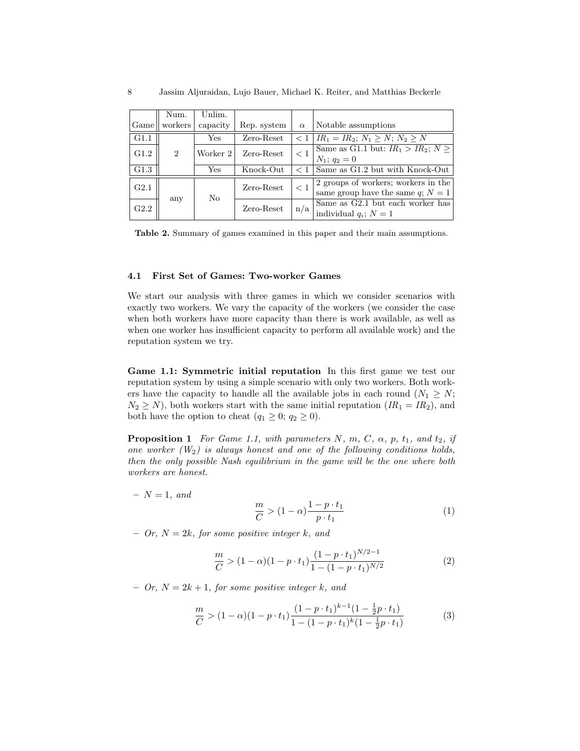|      | Num.           | Unlim.   |             |          |                                                                            |
|------|----------------|----------|-------------|----------|----------------------------------------------------------------------------|
| Game | workers        | capacity | Rep. system | $\alpha$ | Notable assumptions                                                        |
| G1.1 |                | Yes      | Zero-Reset  | $\leq 1$ | $IR_1 = IR_2; N_1 > N; N_2 > N$                                            |
| G1.2 | $\overline{2}$ | Worker 2 | Zero-Reset  | $\lt 1$  | Same as G1.1 but: $IR_1 > IR_2$ ; $N \geq$<br>$N_1: q_2=0$                 |
| G1.3 |                | Yes      | Knock-Out   | $<$ 1    | Same as G1.2 but with Knock-Out                                            |
| G2.1 | any            | No       | Zero-Reset  | $\leq 1$ | 2 groups of workers; workers in the<br>same group have the same $q; N = 1$ |
| G2.2 |                |          | Zero-Reset  | n/a      | Same as G2.1 but each worker has<br>individual $q_i$ ; $N=1$               |

Table 2. Summary of games examined in this paper and their main assumptions.

#### 4.1 First Set of Games: Two-worker Games

We start our analysis with three games in which we consider scenarios with exactly two workers. We vary the capacity of the workers (we consider the case when both workers have more capacity than there is work available, as well as when one worker has insufficient capacity to perform all available work) and the reputation system we try.

Game 1.1: Symmetric initial reputation In this first game we test our reputation system by using a simple scenario with only two workers. Both workers have the capacity to handle all the available jobs in each round ( $N_1 \geq N$ ;  $N_2 \geq N$ , both workers start with the same initial reputation  $(IR_1 = IR_2)$ , and both have the option to cheat  $(q_1 \geq 0; q_2 \geq 0)$ .

**Proposition 1** For Game 1.1, with parameters N, m, C,  $\alpha$ , p,  $t_1$ , and  $t_2$ , if one worker  $(W_2)$  is always honest and one of the following conditions holds, then the only possible Nash equilibrium in the game will be the one where both workers are honest.

 $- N = 1, and$ 

$$
\frac{m}{C} > (1 - \alpha) \frac{1 - p \cdot t_1}{p \cdot t_1} \tag{1}
$$

– Or,  $N = 2k$ , for some positive integer k, and

$$
\frac{m}{C} > (1 - \alpha)(1 - p \cdot t_1) \frac{(1 - p \cdot t_1)^{N/2 - 1}}{1 - (1 - p \cdot t_1)^{N/2}}
$$
\n(2)

– Or,  $N = 2k + 1$ , for some positive integer k, and

$$
\frac{m}{C} > (1 - \alpha)(1 - p \cdot t_1) \frac{(1 - p \cdot t_1)^{k-1} (1 - \frac{1}{2}p \cdot t_1)}{1 - (1 - p \cdot t_1)^k (1 - \frac{1}{2}p \cdot t_1)}
$$
(3)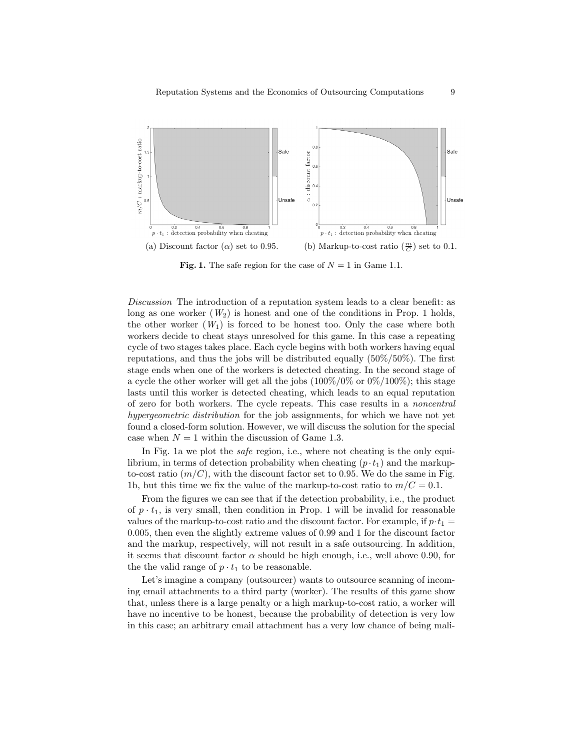

Fig. 1. The safe region for the case of  $N = 1$  in Game 1.1.

Discussion The introduction of a reputation system leads to a clear benefit: as long as one worker  $(W_2)$  is honest and one of the conditions in Prop. 1 holds, the other worker  $(W_1)$  is forced to be honest too. Only the case where both workers decide to cheat stays unresolved for this game. In this case a repeating cycle of two stages takes place. Each cycle begins with both workers having equal reputations, and thus the jobs will be distributed equally (50%/50%). The first stage ends when one of the workers is detected cheating. In the second stage of a cycle the other worker will get all the jobs  $(100\%/0\% \text{ or } 0\%/100\%)$ ; this stage lasts until this worker is detected cheating, which leads to an equal reputation of zero for both workers. The cycle repeats. This case results in a noncentral hypergeometric distribution for the job assignments, for which we have not yet found a closed-form solution. However, we will discuss the solution for the special case when  $N = 1$  within the discussion of Game 1.3.

In Fig. 1a we plot the *safe* region, i.e., where not cheating is the only equilibrium, in terms of detection probability when cheating  $(p \cdot t_1)$  and the markupto-cost ratio  $(m/C)$ , with the discount factor set to 0.95. We do the same in Fig. 1b, but this time we fix the value of the markup-to-cost ratio to  $m/C = 0.1$ .

From the figures we can see that if the detection probability, i.e., the product of  $p \cdot t_1$ , is very small, then condition in Prop. 1 will be invalid for reasonable values of the markup-to-cost ratio and the discount factor. For example, if  $p \cdot t_1 =$ 0.005, then even the slightly extreme values of 0.99 and 1 for the discount factor and the markup, respectively, will not result in a safe outsourcing. In addition, it seems that discount factor  $\alpha$  should be high enough, i.e., well above 0.90, for the the valid range of  $p \cdot t_1$  to be reasonable.

Let's imagine a company (outsourcer) wants to outsource scanning of incoming email attachments to a third party (worker). The results of this game show that, unless there is a large penalty or a high markup-to-cost ratio, a worker will have no incentive to be honest, because the probability of detection is very low in this case; an arbitrary email attachment has a very low chance of being mali-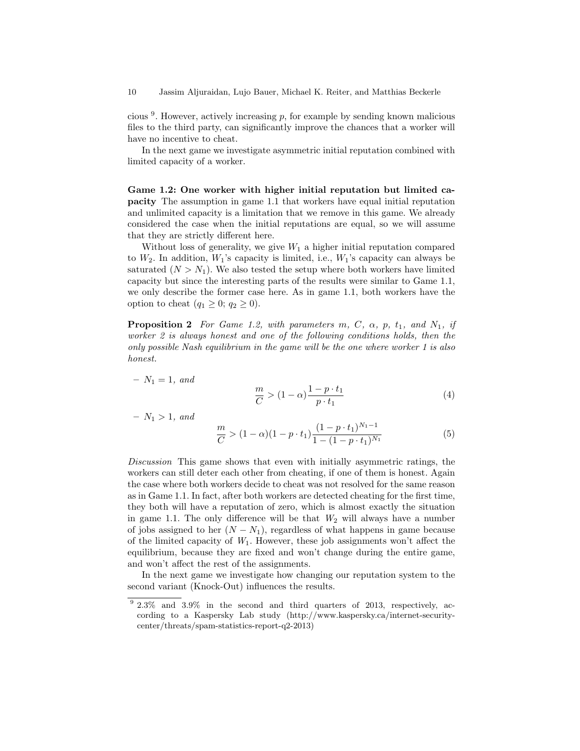cious <sup>9</sup> . However, actively increasing p, for example by sending known malicious files to the third party, can significantly improve the chances that a worker will have no incentive to cheat.

In the next game we investigate asymmetric initial reputation combined with limited capacity of a worker.

Game 1.2: One worker with higher initial reputation but limited capacity The assumption in game 1.1 that workers have equal initial reputation and unlimited capacity is a limitation that we remove in this game. We already considered the case when the initial reputations are equal, so we will assume that they are strictly different here.

Without loss of generality, we give  $W_1$  a higher initial reputation compared to  $W_2$ . In addition,  $W_1$ 's capacity is limited, i.e.,  $W_1$ 's capacity can always be saturated  $(N > N_1)$ . We also tested the setup where both workers have limited capacity but since the interesting parts of the results were similar to Game 1.1, we only describe the former case here. As in game 1.1, both workers have the option to cheat  $(q_1 \geq 0; q_2 \geq 0)$ .

**Proposition 2** For Game 1.2, with parameters m, C,  $\alpha$ , p,  $t_1$ , and  $N_1$ , if worker 2 is always honest and one of the following conditions holds, then the only possible Nash equilibrium in the game will be the one where worker 1 is also honest.

$$
- N_1 = 1, and
$$

$$
\frac{m}{C} > (1 - \alpha) \frac{1 - p \cdot t_1}{p \cdot t_1} \tag{4}
$$

 $- N_1 > 1, and$ 

$$
\frac{m}{C} > (1 - \alpha)(1 - p \cdot t_1) \frac{(1 - p \cdot t_1)^{N_1 - 1}}{1 - (1 - p \cdot t_1)^{N_1}}
$$
\n
$$
(5)
$$

Discussion This game shows that even with initially asymmetric ratings, the workers can still deter each other from cheating, if one of them is honest. Again the case where both workers decide to cheat was not resolved for the same reason as in Game 1.1. In fact, after both workers are detected cheating for the first time, they both will have a reputation of zero, which is almost exactly the situation in game 1.1. The only difference will be that  $W_2$  will always have a number of jobs assigned to her  $(N - N_1)$ , regardless of what happens in game because of the limited capacity of  $W_1$ . However, these job assignments won't affect the equilibrium, because they are fixed and won't change during the entire game, and won't affect the rest of the assignments.

In the next game we investigate how changing our reputation system to the second variant (Knock-Out) influences the results.

<sup>&</sup>lt;sup>9</sup> 2.3% and 3.9% in the second and third quarters of 2013, respectively, according to a Kaspersky Lab study (http://www.kaspersky.ca/internet-securitycenter/threats/spam-statistics-report-q2-2013)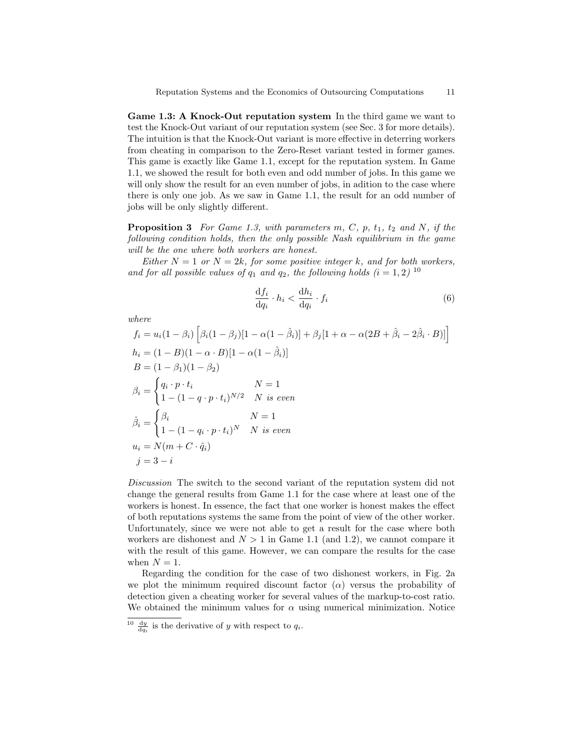Game 1.3: A Knock-Out reputation system In the third game we want to test the Knock-Out variant of our reputation system (see Sec. 3 for more details). The intuition is that the Knock-Out variant is more effective in deterring workers from cheating in comparison to the Zero-Reset variant tested in former games. This game is exactly like Game 1.1, except for the reputation system. In Game 1.1, we showed the result for both even and odd number of jobs. In this game we will only show the result for an even number of jobs, in adition to the case where there is only one job. As we saw in Game 1.1, the result for an odd number of jobs will be only slightly different.

**Proposition 3** For Game 1.3, with parameters m, C, p,  $t_1$ ,  $t_2$  and N, if the following condition holds, then the only possible Nash equilibrium in the game will be the one where both workers are honest.

Either  $N = 1$  or  $N = 2k$ , for some positive integer k, and for both workers, and for all possible values of  $q_1$  and  $q_2$ , the following holds  $(i = 1, 2)^{10}$ 

$$
\frac{\mathrm{d}f_i}{\mathrm{d}q_i} \cdot h_i < \frac{\mathrm{d}h_i}{\mathrm{d}q_i} \cdot f_i \tag{6}
$$

where

$$
f_i = u_i (1 - \beta_i) \left[ \beta_i (1 - \beta_j) [1 - \alpha (1 - \hat{\beta}_i)] + \beta_j [1 + \alpha - \alpha (2B + \hat{\beta}_i - 2\hat{\beta}_i \cdot B)] \right]
$$
  
\n
$$
h_i = (1 - B)(1 - \alpha \cdot B) [1 - \alpha (1 - \hat{\beta}_i)]
$$
  
\n
$$
B = (1 - \beta_1) (1 - \beta_2)
$$
  
\n
$$
\beta_i = \begin{cases} q_i \cdot p \cdot t_i & N = 1 \\ 1 - (1 - q \cdot p \cdot t_i)^{N/2} & N \text{ is even} \end{cases}
$$
  
\n
$$
\hat{\beta}_i = \begin{cases} \beta_i & N = 1 \\ 1 - (1 - q_i \cdot p \cdot t_i)^N & N \text{ is even} \end{cases}
$$
  
\n
$$
u_i = N(m + C \cdot \hat{q}_i)
$$
  
\n
$$
j = 3 - i
$$

Discussion The switch to the second variant of the reputation system did not change the general results from Game 1.1 for the case where at least one of the workers is honest. In essence, the fact that one worker is honest makes the effect of both reputations systems the same from the point of view of the other worker. Unfortunately, since we were not able to get a result for the case where both workers are dishonest and  $N > 1$  in Game 1.1 (and 1.2), we cannot compare it with the result of this game. However, we can compare the results for the case when  $N = 1$ .

Regarding the condition for the case of two dishonest workers, in Fig. 2a we plot the minimum required discount factor  $(\alpha)$  versus the probability of detection given a cheating worker for several values of the markup-to-cost ratio. We obtained the minimum values for  $\alpha$  using numerical minimization. Notice

<sup>&</sup>lt;sup>10</sup>  $\frac{dy}{dq_i}$  is the derivative of y with respect to  $q_i$ .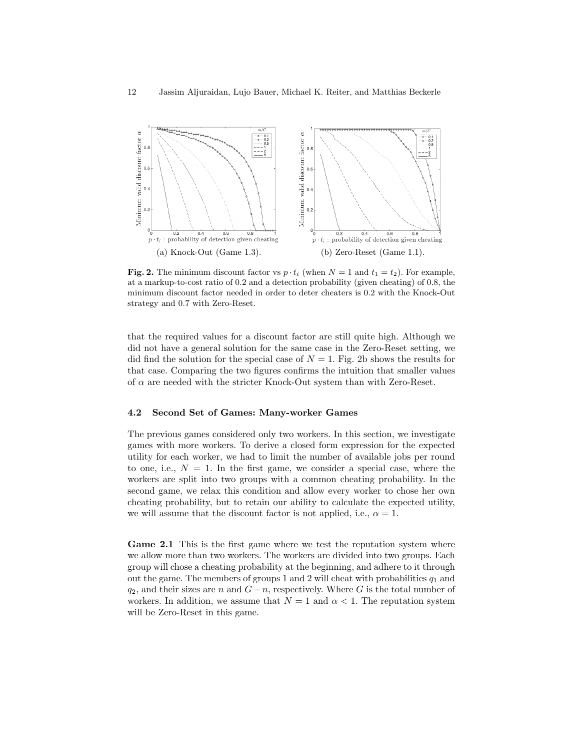

**Fig. 2.** The minimum discount factor vs  $p \cdot t_i$  (when  $N = 1$  and  $t_1 = t_2$ ). For example, at a markup-to-cost ratio of 0.2 and a detection probability (given cheating) of 0.8, the minimum discount factor needed in order to deter cheaters is 0.2 with the Knock-Out strategy and 0.7 with Zero-Reset.

that the required values for a discount factor are still quite high. Although we did not have a general solution for the same case in the Zero-Reset setting, we did find the solution for the special case of  $N = 1$ . Fig. 2b shows the results for that case. Comparing the two figures confirms the intuition that smaller values of  $\alpha$  are needed with the stricter Knock-Out system than with Zero-Reset.

#### 4.2 Second Set of Games: Many-worker Games

The previous games considered only two workers. In this section, we investigate games with more workers. To derive a closed form expression for the expected utility for each worker, we had to limit the number of available jobs per round to one, i.e.,  $N = 1$ . In the first game, we consider a special case, where the workers are split into two groups with a common cheating probability. In the second game, we relax this condition and allow every worker to chose her own cheating probability, but to retain our ability to calculate the expected utility, we will assume that the discount factor is not applied, i.e.,  $\alpha = 1$ .

Game 2.1 This is the first game where we test the reputation system where we allow more than two workers. The workers are divided into two groups. Each group will chose a cheating probability at the beginning, and adhere to it through out the game. The members of groups 1 and 2 will cheat with probabilities  $q_1$  and  $q_2$ , and their sizes are n and  $G-n$ , respectively. Where G is the total number of workers. In addition, we assume that  $N = 1$  and  $\alpha < 1$ . The reputation system will be Zero-Reset in this game.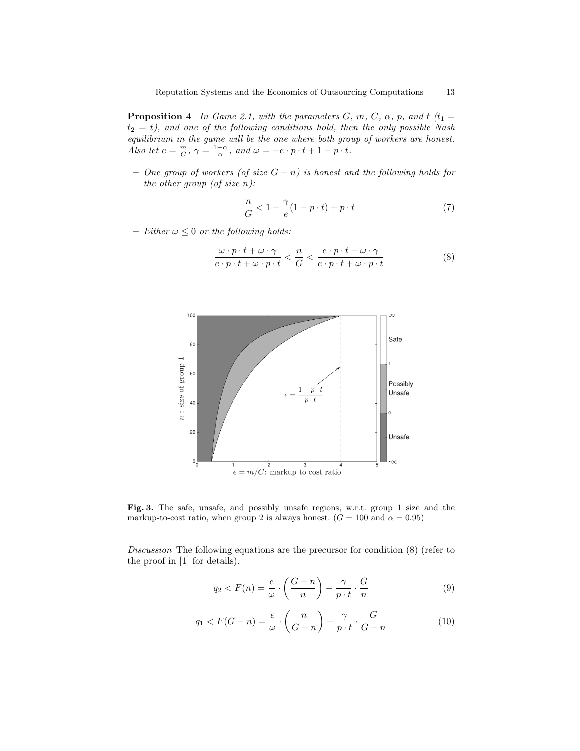**Proposition 4** In Game 2.1, with the parameters G, m, C,  $\alpha$ , p, and t (t<sub>1</sub> =  $t_2 = t$ ), and one of the following conditions hold, then the only possible Nash equilibrium in the game will be the one where both group of workers are honest. Also let  $e = \frac{m}{C}$ ,  $\gamma = \frac{1-\alpha}{\alpha}$ , and  $\omega = -e \cdot p \cdot t + 1 - p \cdot t$ .

– One group of workers (of size G − n) is honest and the following holds for the other group (of size  $n$ ):

$$
\frac{n}{G} < 1 - \frac{\gamma}{e}(1 - p \cdot t) + p \cdot t \tag{7}
$$

– Either  $\omega \leq 0$  or the following holds:

$$
\frac{\omega \cdot p \cdot t + \omega \cdot \gamma}{e \cdot p \cdot t + \omega \cdot p \cdot t} < \frac{n}{G} < \frac{e \cdot p \cdot t - \omega \cdot \gamma}{e \cdot p \cdot t + \omega \cdot p \cdot t} \tag{8}
$$



Fig. 3. The safe, unsafe, and possibly unsafe regions, w.r.t. group 1 size and the markup-to-cost ratio, when group 2 is always honest.  $(G = 100 \text{ and } \alpha = 0.95)$ 

Discussion The following equations are the precursor for condition (8) (refer to the proof in [1] for details).

$$
q_2 < F(n) = \frac{e}{\omega} \cdot \left(\frac{G-n}{n}\right) - \frac{\gamma}{p \cdot t} \cdot \frac{G}{n} \tag{9}
$$

$$
q_1 < F(G - n) = \frac{e}{\omega} \cdot \left(\frac{n}{G - n}\right) - \frac{\gamma}{p \cdot t} \cdot \frac{G}{G - n} \tag{10}
$$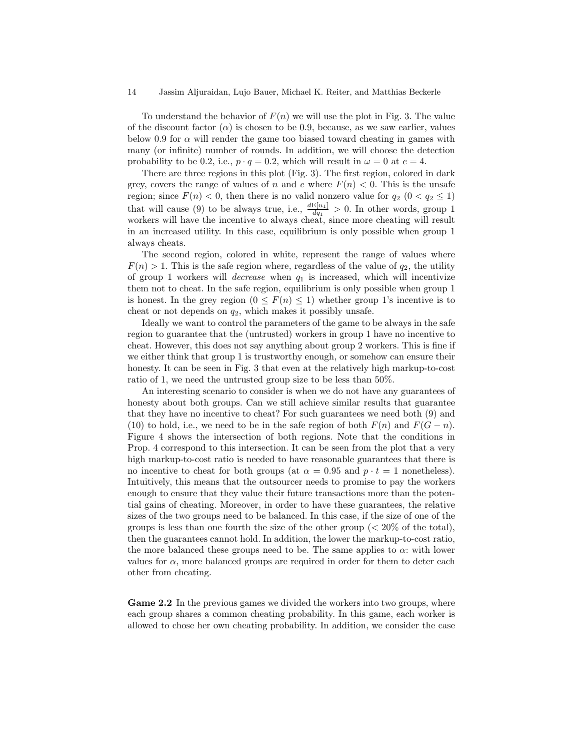#### 14 Jassim Aljuraidan, Lujo Bauer, Michael K. Reiter, and Matthias Beckerle

To understand the behavior of  $F(n)$  we will use the plot in Fig. 3. The value of the discount factor  $(\alpha)$  is chosen to be 0.9, because, as we saw earlier, values below 0.9 for  $\alpha$  will render the game too biased toward cheating in games with many (or infinite) number of rounds. In addition, we will choose the detection probability to be 0.2, i.e.,  $p \cdot q = 0.2$ , which will result in  $\omega = 0$  at  $e = 4$ .

There are three regions in this plot (Fig. 3). The first region, colored in dark grey, covers the range of values of n and e where  $F(n) < 0$ . This is the unsafe region; since  $F(n) < 0$ , then there is no valid nonzero value for  $q_2$   $(0 < q_2 \le 1)$ that will cause (9) to be always true, i.e.,  $\frac{dE[u_1]}{dq_1} > 0$ . In other words, group 1 workers will have the incentive to always cheat, since more cheating will result in an increased utility. In this case, equilibrium is only possible when group 1 always cheats.

The second region, colored in white, represent the range of values where  $F(n) > 1$ . This is the safe region where, regardless of the value of  $q_2$ , the utility of group 1 workers will *decrease* when  $q_1$  is increased, which will incentivize them not to cheat. In the safe region, equilibrium is only possible when group 1 is honest. In the grey region  $(0 \leq F(n) \leq 1)$  whether group 1's incentive is to cheat or not depends on  $q_2$ , which makes it possibly unsafe.

Ideally we want to control the parameters of the game to be always in the safe region to guarantee that the (untrusted) workers in group 1 have no incentive to cheat. However, this does not say anything about group 2 workers. This is fine if we either think that group 1 is trustworthy enough, or somehow can ensure their honesty. It can be seen in Fig. 3 that even at the relatively high markup-to-cost ratio of 1, we need the untrusted group size to be less than 50%.

An interesting scenario to consider is when we do not have any guarantees of honesty about both groups. Can we still achieve similar results that guarantee that they have no incentive to cheat? For such guarantees we need both (9) and (10) to hold, i.e., we need to be in the safe region of both  $F(n)$  and  $F(G - n)$ . Figure 4 shows the intersection of both regions. Note that the conditions in Prop. 4 correspond to this intersection. It can be seen from the plot that a very high markup-to-cost ratio is needed to have reasonable guarantees that there is no incentive to cheat for both groups (at  $\alpha = 0.95$  and  $p \cdot t = 1$  nonetheless). Intuitively, this means that the outsourcer needs to promise to pay the workers enough to ensure that they value their future transactions more than the potential gains of cheating. Moreover, in order to have these guarantees, the relative sizes of the two groups need to be balanced. In this case, if the size of one of the groups is less than one fourth the size of the other group  $(< 20\%$  of the total), then the guarantees cannot hold. In addition, the lower the markup-to-cost ratio, the more balanced these groups need to be. The same applies to  $\alpha$ : with lower values for  $\alpha$ , more balanced groups are required in order for them to deter each other from cheating.

Game 2.2 In the previous games we divided the workers into two groups, where each group shares a common cheating probability. In this game, each worker is allowed to chose her own cheating probability. In addition, we consider the case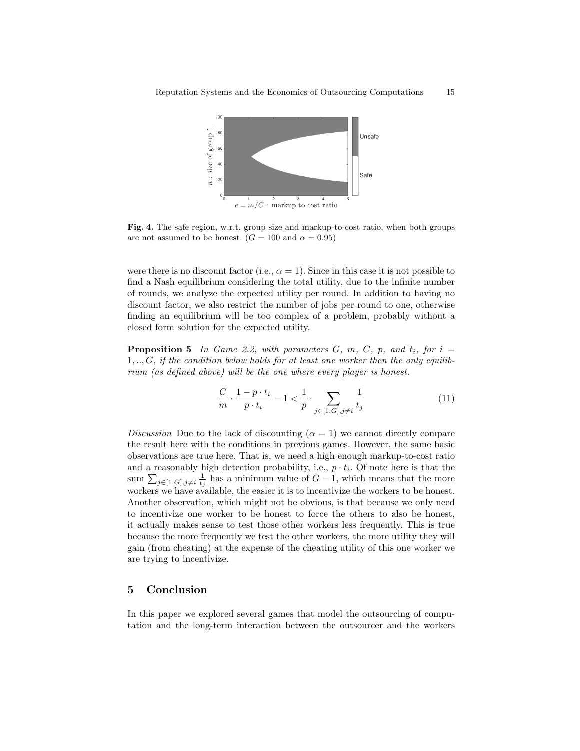

Fig. 4. The safe region, w.r.t. group size and markup-to-cost ratio, when both groups are not assumed to be honest.  $(G = 100 \text{ and } \alpha = 0.95)$ 

were there is no discount factor (i.e.,  $\alpha = 1$ ). Since in this case it is not possible to find a Nash equilibrium considering the total utility, due to the infinite number of rounds, we analyze the expected utility per round. In addition to having no discount factor, we also restrict the number of jobs per round to one, otherwise finding an equilibrium will be too complex of a problem, probably without a closed form solution for the expected utility.

**Proposition 5** In Game 2.2, with parameters G, m, C, p, and  $t_i$ , for  $i =$  $1, \ldots, G$ , if the condition below holds for at least one worker then the only equilibrium (as defined above) will be the one where every player is honest.

$$
\frac{C}{m} \cdot \frac{1-p \cdot t_i}{p \cdot t_i} - 1 < \frac{1}{p} \cdot \sum_{j \in [1, G], j \neq i} \frac{1}{t_j} \tag{11}
$$

Discussion Due to the lack of discounting  $(\alpha = 1)$  we cannot directly compare the result here with the conditions in previous games. However, the same basic observations are true here. That is, we need a high enough markup-to-cost ratio and a reasonably high detection probability, i.e.,  $p \cdot t_i$ . Of note here is that the sum  $\sum_{j\in[1,G],j\neq i}\frac{1}{t_j}$  has a minimum value of  $G-1$ , which means that the more workers we have available, the easier it is to incentivize the workers to be honest. Another observation, which might not be obvious, is that because we only need to incentivize one worker to be honest to force the others to also be honest, it actually makes sense to test those other workers less frequently. This is true because the more frequently we test the other workers, the more utility they will gain (from cheating) at the expense of the cheating utility of this one worker we are trying to incentivize.

## 5 Conclusion

In this paper we explored several games that model the outsourcing of computation and the long-term interaction between the outsourcer and the workers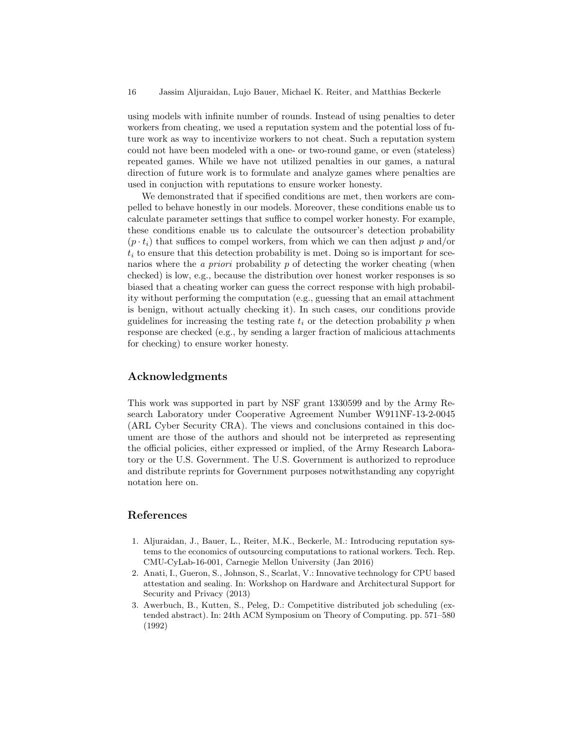using models with infinite number of rounds. Instead of using penalties to deter workers from cheating, we used a reputation system and the potential loss of future work as way to incentivize workers to not cheat. Such a reputation system could not have been modeled with a one- or two-round game, or even (stateless) repeated games. While we have not utilized penalties in our games, a natural direction of future work is to formulate and analyze games where penalties are used in conjuction with reputations to ensure worker honesty.

We demonstrated that if specified conditions are met, then workers are compelled to behave honestly in our models. Moreover, these conditions enable us to calculate parameter settings that suffice to compel worker honesty. For example, these conditions enable us to calculate the outsourcer's detection probability  $(p \cdot t_i)$  that suffices to compel workers, from which we can then adjust p and/or  $t_i$  to ensure that this detection probability is met. Doing so is important for scenarios where the *a priori* probability  $p$  of detecting the worker cheating (when checked) is low, e.g., because the distribution over honest worker responses is so biased that a cheating worker can guess the correct response with high probability without performing the computation (e.g., guessing that an email attachment is benign, without actually checking it). In such cases, our conditions provide guidelines for increasing the testing rate  $t_i$  or the detection probability  $p$  when response are checked (e.g., by sending a larger fraction of malicious attachments for checking) to ensure worker honesty.

## Acknowledgments

This work was supported in part by NSF grant 1330599 and by the Army Research Laboratory under Cooperative Agreement Number W911NF-13-2-0045 (ARL Cyber Security CRA). The views and conclusions contained in this document are those of the authors and should not be interpreted as representing the official policies, either expressed or implied, of the Army Research Laboratory or the U.S. Government. The U.S. Government is authorized to reproduce and distribute reprints for Government purposes notwithstanding any copyright notation here on.

## References

- 1. Aljuraidan, J., Bauer, L., Reiter, M.K., Beckerle, M.: Introducing reputation systems to the economics of outsourcing computations to rational workers. Tech. Rep. CMU-CyLab-16-001, Carnegie Mellon University (Jan 2016)
- 2. Anati, I., Gueron, S., Johnson, S., Scarlat, V.: Innovative technology for CPU based attestation and sealing. In: Workshop on Hardware and Architectural Support for Security and Privacy (2013)
- 3. Awerbuch, B., Kutten, S., Peleg, D.: Competitive distributed job scheduling (extended abstract). In: 24th ACM Symposium on Theory of Computing. pp. 571–580 (1992)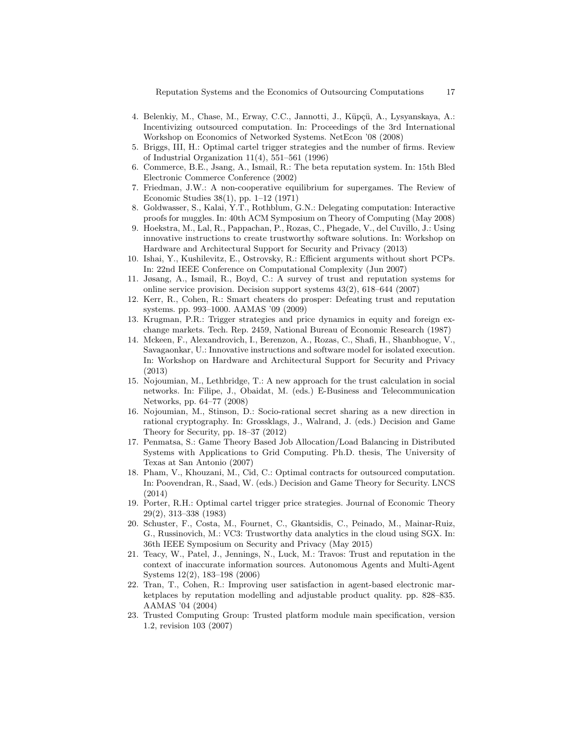- 4. Belenkiy, M., Chase, M., Erway, C.C., Jannotti, J., Küpçü, A., Lysyanskaya, A.: Incentivizing outsourced computation. In: Proceedings of the 3rd International Workshop on Economics of Networked Systems. NetEcon '08 (2008)
- 5. Briggs, III, H.: Optimal cartel trigger strategies and the number of firms. Review of Industrial Organization 11(4), 551–561 (1996)
- 6. Commerce, B.E., Jsang, A., Ismail, R.: The beta reputation system. In: 15th Bled Electronic Commerce Conference (2002)
- 7. Friedman, J.W.: A non-cooperative equilibrium for supergames. The Review of Economic Studies 38(1), pp. 1–12 (1971)
- 8. Goldwasser, S., Kalai, Y.T., Rothblum, G.N.: Delegating computation: Interactive proofs for muggles. In: 40th ACM Symposium on Theory of Computing (May 2008)
- 9. Hoekstra, M., Lal, R., Pappachan, P., Rozas, C., Phegade, V., del Cuvillo, J.: Using innovative instructions to create trustworthy software solutions. In: Workshop on Hardware and Architectural Support for Security and Privacy (2013)
- 10. Ishai, Y., Kushilevitz, E., Ostrovsky, R.: Efficient arguments without short PCPs. In: 22nd IEEE Conference on Computational Complexity (Jun 2007)
- 11. Jøsang, A., Ismail, R., Boyd, C.: A survey of trust and reputation systems for online service provision. Decision support systems 43(2), 618–644 (2007)
- 12. Kerr, R., Cohen, R.: Smart cheaters do prosper: Defeating trust and reputation systems. pp. 993–1000. AAMAS '09 (2009)
- 13. Krugman, P.R.: Trigger strategies and price dynamics in equity and foreign exchange markets. Tech. Rep. 2459, National Bureau of Economic Research (1987)
- 14. Mckeen, F., Alexandrovich, I., Berenzon, A., Rozas, C., Shafi, H., Shanbhogue, V., Savagaonkar, U.: Innovative instructions and software model for isolated execution. In: Workshop on Hardware and Architectural Support for Security and Privacy (2013)
- 15. Nojoumian, M., Lethbridge, T.: A new approach for the trust calculation in social networks. In: Filipe, J., Obaidat, M. (eds.) E-Business and Telecommunication Networks, pp. 64–77 (2008)
- 16. Nojoumian, M., Stinson, D.: Socio-rational secret sharing as a new direction in rational cryptography. In: Grossklags, J., Walrand, J. (eds.) Decision and Game Theory for Security, pp. 18–37 (2012)
- 17. Penmatsa, S.: Game Theory Based Job Allocation/Load Balancing in Distributed Systems with Applications to Grid Computing. Ph.D. thesis, The University of Texas at San Antonio (2007)
- 18. Pham, V., Khouzani, M., Cid, C.: Optimal contracts for outsourced computation. In: Poovendran, R., Saad, W. (eds.) Decision and Game Theory for Security. LNCS (2014)
- 19. Porter, R.H.: Optimal cartel trigger price strategies. Journal of Economic Theory 29(2), 313–338 (1983)
- 20. Schuster, F., Costa, M., Fournet, C., Gkantsidis, C., Peinado, M., Mainar-Ruiz, G., Russinovich, M.: VC3: Trustworthy data analytics in the cloud using SGX. In: 36th IEEE Symposium on Security and Privacy (May 2015)
- 21. Teacy, W., Patel, J., Jennings, N., Luck, M.: Travos: Trust and reputation in the context of inaccurate information sources. Autonomous Agents and Multi-Agent Systems 12(2), 183–198 (2006)
- 22. Tran, T., Cohen, R.: Improving user satisfaction in agent-based electronic marketplaces by reputation modelling and adjustable product quality. pp. 828–835. AAMAS '04 (2004)
- 23. Trusted Computing Group: Trusted platform module main specification, version 1.2, revision 103 (2007)